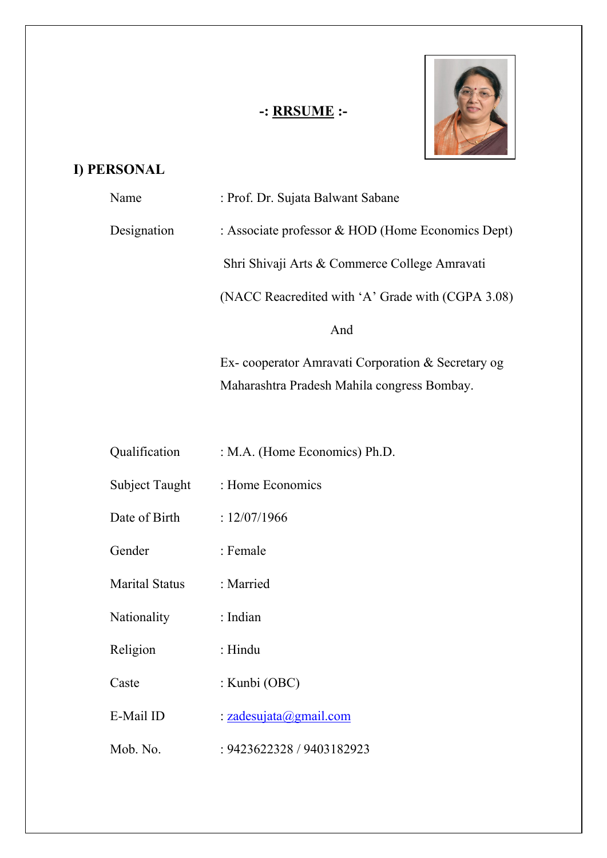# **-: RRSUME :-**



# **I) PERSONAL**

| Name        | : Prof. Dr. Sujata Balwant Sabane                 |
|-------------|---------------------------------------------------|
| Designation | : Associate professor & HOD (Home Economics Dept) |
|             | Shri Shivaji Arts & Commerce College Amravati     |
|             | (NACC Reacredited with 'A' Grade with (CGPA 3.08) |
|             | And                                               |
|             | Ex-cooperator Amravati Corporation & Secretary og |
|             | Maharashtra Pradesh Mahila congress Bombay.       |

| Qualification         | : M.A. (Home Economics) Ph.D. |
|-----------------------|-------------------------------|
| Subject Taught        | : Home Economics              |
| Date of Birth         | : 12/07/1966                  |
| Gender                | : Female                      |
| <b>Marital Status</b> | : Married                     |
| Nationality           | : Indian                      |
| Religion              | : Hindu                       |
| Caste                 | : Kunbi (OBC)                 |
| E-Mail ID             | : zadesujata@gmail.com        |
| Mob. No.              | : 9423622328 / 9403182923     |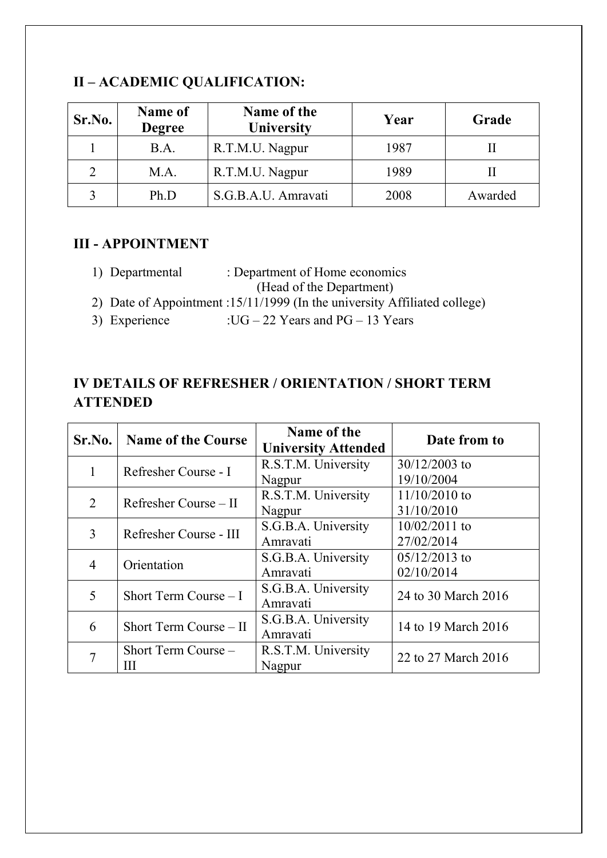| Sr.No. | Name of<br><b>Degree</b> | Name of the<br>University | Year | Grade   |
|--------|--------------------------|---------------------------|------|---------|
|        | B.A.                     | R.T.M.U. Nagpur           | 1987 |         |
|        | M.A.                     | R.T.M.U. Nagpur           | 1989 |         |
|        | Ph.D                     | S.G.B.A.U. Amravati       | 2008 | Awarded |

## **II – ACADEMIC QUALIFICATION:**

#### **III - APPOINTMENT**

- 1) Departmental : Department of Home economics (Head of the Department)
- 2) Date of Appointment :15/11/1999 (In the university Affiliated college)
- 3) Experience  $: UG 22$  Years and PG 13 Years

## **IV DETAILS OF REFRESHER / ORIENTATION / SHORT TERM ATTENDED**

| Sr.No. | <b>Name of the Course</b> | Name of the<br><b>University Attended</b> | Date from to        |  |
|--------|---------------------------|-------------------------------------------|---------------------|--|
|        | Refresher Course - I      | R.S.T.M. University                       | $30/12/2003$ to     |  |
|        |                           | Nagpur                                    | 19/10/2004          |  |
| 2      | Refresher Course $-$ II   | R.S.T.M. University                       | $11/10/2010$ to     |  |
|        |                           | Nagpur                                    | 31/10/2010          |  |
| 3      | Refresher Course - III    | S.G.B.A. University                       | $10/02/2011$ to     |  |
|        |                           | Amravati                                  | 27/02/2014          |  |
| 4      | Orientation               | S.G.B.A. University                       | $05/12/2013$ to     |  |
|        |                           | Amravati                                  | 02/10/2014          |  |
| 5      | Short Term Course $-1$    | S.G.B.A. University                       | 24 to 30 March 2016 |  |
|        |                           | Amravati                                  |                     |  |
| 6      | Short Term Course $-II$   | S.G.B.A. University                       | 14 to 19 March 2016 |  |
|        |                           | Amravati                                  |                     |  |
|        | Short Term Course -       | R.S.T.M. University                       |                     |  |
|        | Ш                         | Nagpur                                    | 22 to 27 March 2016 |  |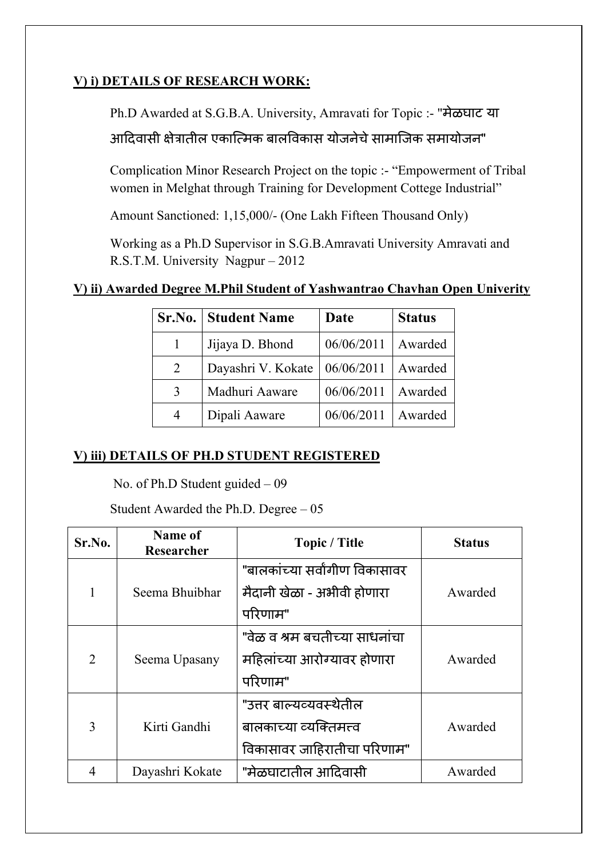### **V) i) DETAILS OF RESEARCH WORK:**

Ph.D Awarded at S.G.B.A. University, Amravati for Topic :- "मेळघाट या

आदिवासी क्षेत्रातील एकात्मिक बालविकास योजनेचे सामाजिक समायोजन"

Complication Minor Research Project on the topic :- "Empowerment of Tribal women in Melghat through Training for Development Cottege Industrial"

Amount Sanctioned: 1,15,000/- (One Lakh Fifteen Thousand Only)

Working as a Ph.D Supervisor in S.G.B.Amravati University Amravati and R.S.T.M. University Nagpur – 2012

### **V) ii) Awarded Degree M.Phil Student of Yashwantrao Chavhan Open Univerity**

|   | Sr.No.   Student Name | Date       | <b>Status</b> |
|---|-----------------------|------------|---------------|
|   | Jijaya D. Bhond       | 06/06/2011 | Awarded       |
| 2 | Dayashri V. Kokate    | 06/06/2011 | Awarded       |
| 3 | Madhuri Aaware        | 06/06/2011 | Awarded       |
| 4 | Dipali Aaware         | 06/06/2011 | Awarded       |

#### **V) iii) DETAILS OF PH.D STUDENT REGISTERED**

No. of Ph.D Student guided – 09

Student Awarded the Ph.D. Degree – 05

| Sr.No.         | Name of<br>Researcher | <b>Topic / Title</b>           | <b>Status</b> |
|----------------|-----------------------|--------------------------------|---------------|
|                |                       | "बालकांच्या सर्वांगीण विकासावर |               |
|                | Seema Bhuibhar        | मैदानी खेळा - अभीवी होणारा     | Awarded       |
|                |                       | परिणाम"                        |               |
|                |                       | "वेळ व श्रम बचतीच्या साधनांचा  |               |
| $\overline{2}$ | Seema Upasany         | महिलांच्या आरोग्यावर होणारा    | Awarded       |
|                |                       | परिणाम"                        |               |
|                |                       | "उत्तर बाल्यव्यवस्थेतील        |               |
| 3              | Kirti Gandhi          | बालकाच्या व्यक्तिमत्त्व        | Awarded       |
|                |                       | विकासावर जाहिरातीचा परिणाम"    |               |
| $\overline{4}$ | Dayashri Kokate       | "मेळघाटातील आदिवासी            | Awarded       |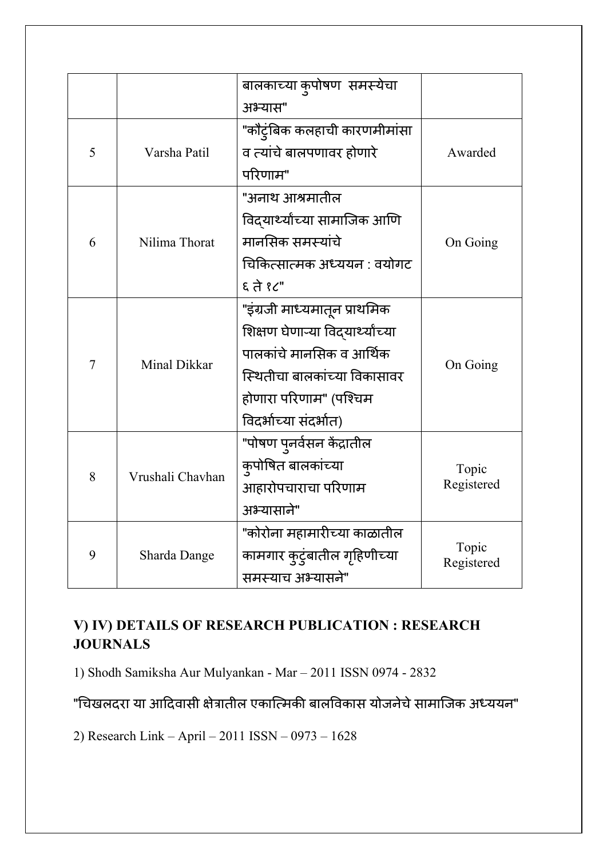|   |                  | बालकाच्या कुपोषण  समस्येचा     |                     |
|---|------------------|--------------------------------|---------------------|
|   |                  | अभ्यास"                        |                     |
|   |                  | "कौट्ंबिक कलहाची कारणमीमांसा   |                     |
| 5 | Varsha Patil     | व त्यांचे बालपणावर होणारे      | Awarded             |
|   |                  | परिणाम"                        |                     |
|   |                  | "अनाथ आश्रमातील                |                     |
|   |                  | विद्यार्थ्यांच्या सामाजिक आणि  |                     |
| 6 | Nilima Thorat    | मानसिक समस्यांचे               | On Going            |
|   |                  | चिकित्सात्मक अध्ययन : वयोगट    |                     |
|   |                  | $5 \times 7$                   |                     |
|   | Minal Dikkar     | "इंग्रजी माध्यमातून प्राथमिक   |                     |
|   |                  | शिक्षण घेणाऱ्या विदयाथ्यांच्या |                     |
|   |                  | पालकांचे मानसिक व आर्थिक       |                     |
| 7 |                  | स्थितीचा बालकांच्या विकासावर   | On Going            |
|   |                  | होणारा परिणाम" (पश्चिम         |                     |
|   |                  | विदर्भाच्या संदर्भात)          |                     |
|   | Vrushali Chavhan | "पोषण पुनर्वसन केंद्रातील      |                     |
|   |                  | कुपोषित बालकांच्या             | Topic               |
| 8 |                  | आहारोपचाराचा परिणाम            | Registered          |
|   |                  | अभ्यासाने"                     |                     |
|   | Sharda Dange     | "कोरोना महामारीच्या काळातील    |                     |
| 9 |                  | कामगार कुटुंबातील गृहिणीच्या   | Topic<br>Registered |
|   |                  | समस्याच अभ्यासने"              |                     |

# **V) IV) DETAILS OF RESEARCH PUBLICATION : RESEARCH JOURNALS**

1) Shodh Samiksha Aur Mulyankan - Mar – 2011 ISSN 0974 - 2832

"चिखलदरा या आदिवासी क्षेत्रातील एकात्मिकी बालविकास योजनेचे सामाजिक अध्ययन"

2) Research Link – April – 2011 ISSN – 0973 – 1628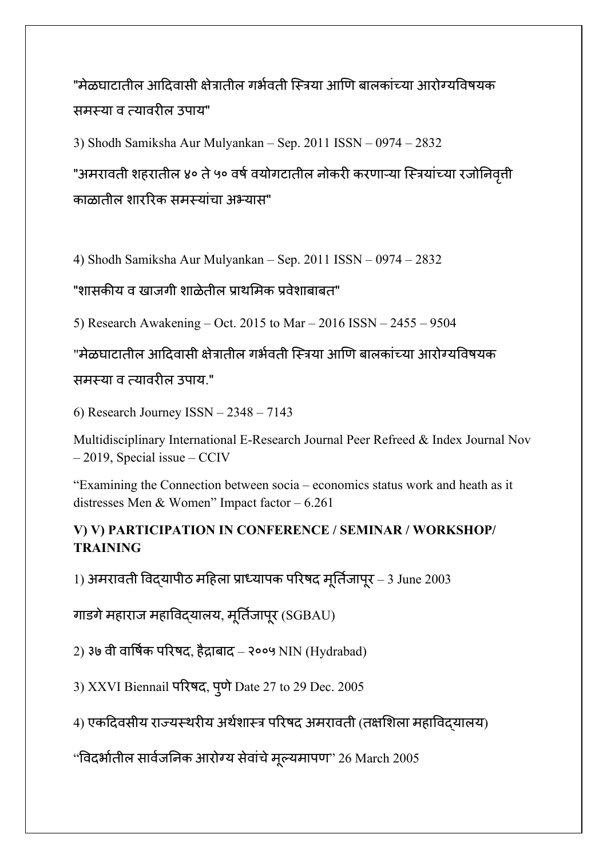"मेळघाटातील आदिवासी क्षेत्रातील गर्भवती स्त्रिया आणि बालकांच्या आरोग्यविषयक समस्या व त्यावर�ल उपाय"

3) Shodh Samiksha Aur Mulyankan – Sep. 2011 ISSN – 0974 – 2832

"अमरावती शहरातील ४० ते ५० वर्ष वयोगटातील नोकरी करणाऱ्या स्त्रियांच्या रजोनिवती ृ काळातील शार�रक समस्यांचा अभ्यास"

4) Shodh Samiksha Aur Mulyankan – Sep. 2011 ISSN – 0974 – 2832

"शासकीय व खाजगी शाळेतील प्राथमिक प्रवेशाबाबत"

5) Research Awakening – Oct. 2015 to Mar – 2016 ISSN – 2455 – 9504

"मेळघाटातील आदिवासी क्षेत्रातील गर्भवती स्त्रिया आणि बालकांच्या आरोग्यविषयक समस्या व त्यावरील उपाय."

6) Research Journey ISSN – 2348 – 7143

Multidisciplinary International E-Research Journal Peer Refreed & Index Journal Nov – 2019, Special issue – CCIV

"Examining the Connection between socia – economics status work and heath as it distresses Men & Women" Impact factor – 6.261

#### **V) V) PARTICIPATION IN CONFERENCE / SEMINAR / WORKSHOP/ TRAINING**

1) अमरावती विदयापीठ महिला प्राध्यापक परिषद मूर्तिजापूर – 3 June 2003

गाडगे महाराज महाविद्यालय, मूर्तिजापूर (SGBAU)

2) ३७ वी वार्षिक परिषद, हैद्राबाद – २००५ NIN (Hydrabad)

3) XXVI Biennail परिषद, पूर्ण Date 27 to 29 Dec. 2005 ु

4) एकदिवसीय राज्यस्थरीय अर्थशास्त्र परिषद अमरावती (तक्षशिला महाविदयालय)

"विदर्भातील सार्वजनिक आरोग्य सेवाचे मूल्यमापण" 26 March 2005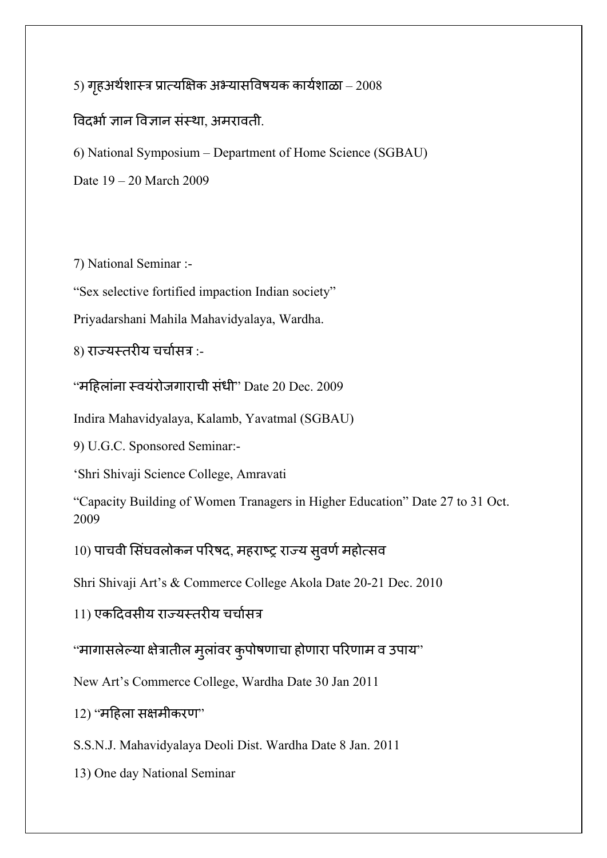5) गहअर्थशास्त्र प्रात्यक्षिक अभ्यासविषयक कार्यशाळा – 2008 विदर्भा ज्ञान विज्ञान संस्था, अमरावती.

6) National Symposium – Department of Home Science (SGBAU)

Date 19 – 20 March 2009

7) National Seminar :-

"Sex selective fortified impaction Indian society"

Priyadarshani Mahila Mahavidyalaya, Wardha.

8) राज्यस्तरीय चर्चासत्र :-

"म�हलांना स्वयंरोजगाराची संधी" Date 20 Dec. 2009

Indira Mahavidyalaya, Kalamb, Yavatmal (SGBAU)

9) U.G.C. Sponsored Seminar:-

'Shri Shivaji Science College, Amravati

"Capacity Building of Women Tranagers in Higher Education" Date 27 to 31 Oct. 2009

10) पाचवी सिंघवलोकन परिषद, महराष्ट्र राज्य सुवर्ण महोत्सव

Shri Shivaji Art's & Commerce College Akola Date 20-21 Dec. 2010

11) एकदिवसीय राज्यस्तरीय चर्चासत्र

"मागासलेल्या क्षेत्रातील मुलांवर कुपोषणाचा होणारा परिणाम व उपाय" ु ु

New Art's Commerce College, Wardha Date 30 Jan 2011

 $12)$  "महिला सक्षमीकरण"

S.S.N.J. Mahavidyalaya Deoli Dist. Wardha Date 8 Jan. 2011

13) One day National Seminar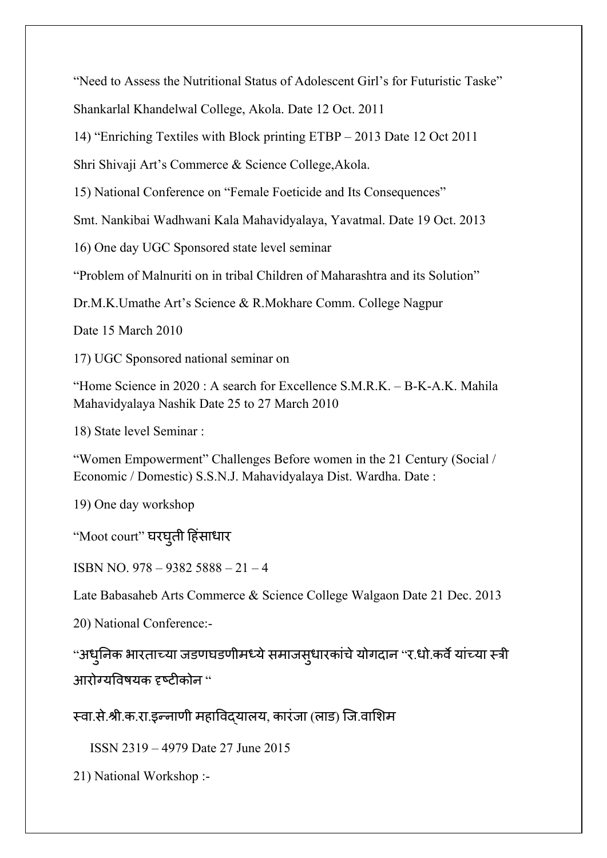"Need to Assess the Nutritional Status of Adolescent Girl's for Futuristic Taske" Shankarlal Khandelwal College, Akola. Date 12 Oct. 2011

14) "Enriching Textiles with Block printing ETBP – 2013 Date 12 Oct 2011

Shri Shivaji Art's Commerce & Science College,Akola.

15) National Conference on "Female Foeticide and Its Consequences"

Smt. Nankibai Wadhwani Kala Mahavidyalaya, Yavatmal. Date 19 Oct. 2013

16) One day UGC Sponsored state level seminar

"Problem of Malnuriti on in tribal Children of Maharashtra and its Solution"

Dr.M.K.Umathe Art's Science & R.Mokhare Comm. College Nagpur

Date 15 March 2010

17) UGC Sponsored national seminar on

"Home Science in 2020 : A search for Excellence S.M.R.K. – B-K-A.K. Mahila Mahavidyalaya Nashik Date 25 to 27 March 2010

18) State level Seminar :

"Women Empowerment" Challenges Before women in the 21 Century (Social / Economic / Domestic) S.S.N.J. Mahavidyalaya Dist. Wardha. Date :

19) One day workshop

"Moot court" घरघुती हिसाधार

ISBN NO. 978 – 9382 5888 – 21 – 4

Late Babasaheb Arts Commerce & Science College Walgaon Date 21 Dec. 2013

20) National Conference:-

"अधुनिक भारताच्या जडणघडणीमध्ये समाजसुधारकाचे योगदान "र.धो.कवै याच्या स्त्री ु आरोग्यविषयक दृष्टीकोन "

स्वा.से.श्री.क.रा.इन्नाणी महा�वद्यालय, कारंजा (लाड) िज.वा�शम

ISSN 2319 – 4979 Date 27 June 2015

21) National Workshop :-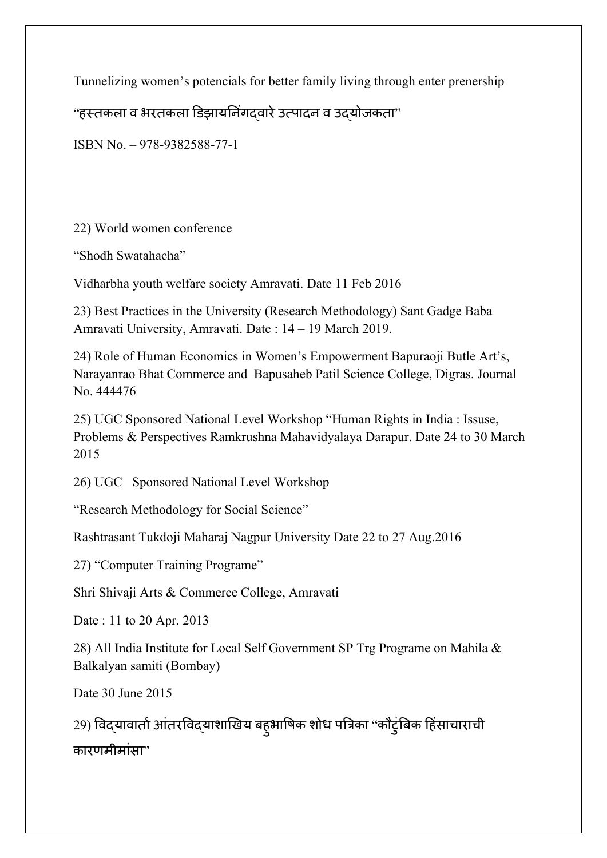Tunnelizing women's potencials for better family living through enter prenership

"हस्तकला व भरतकला डिझायनिंगदवारे उत्पादन व उद्योजकता"

ISBN No. – 978-9382588-77-1

22) World women conference

"Shodh Swatahacha"

Vidharbha youth welfare society Amravati. Date 11 Feb 2016

23) Best Practices in the University (Research Methodology) Sant Gadge Baba Amravati University, Amravati. Date : 14 – 19 March 2019.

24) Role of Human Economics in Women's Empowerment Bapuraoji Butle Art's, Narayanrao Bhat Commerce and Bapusaheb Patil Science College, Digras. Journal No. 444476

25) UGC Sponsored National Level Workshop "Human Rights in India : Issuse, Problems & Perspectives Ramkrushna Mahavidyalaya Darapur. Date 24 to 30 March 2015

26) UGC Sponsored National Level Workshop

"Research Methodology for Social Science"

Rashtrasant Tukdoji Maharaj Nagpur University Date 22 to 27 Aug.2016

27) "Computer Training Programe"

Shri Shivaji Arts & Commerce College, Amravati

Date : 11 to 20 Apr. 2013

28) All India Institute for Local Self Government SP Trg Programe on Mahila & Balkalyan samiti (Bombay)

Date 30 June 2015

29) विद्यावातो आतरविद्याशाखिय बह्आषिक शोध पत्रिका ''कौटुर्बिक हिसाचाराची ु कारणमीमांसा"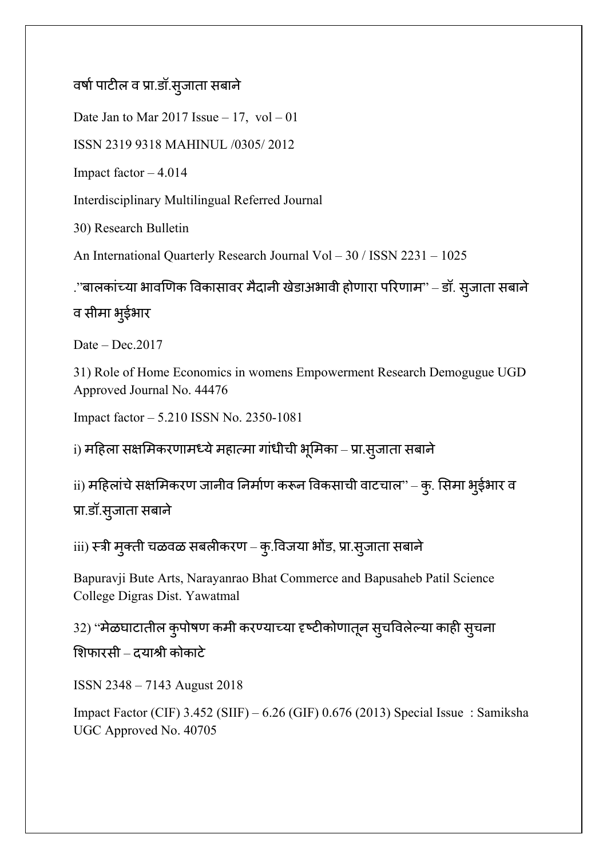# वर्षा पाटील व प्रा.डॉ.सुजाता सबाने

Date Jan to Mar  $2017$  Issue  $-17$ , vol  $-01$ 

ISSN 2319 9318 MAHINUL /0305/ 2012

Impact factor – 4.014

Interdisciplinary Multilingual Referred Journal

30) Research Bulletin

An International Quarterly Research Journal Vol – 30 / ISSN 2231 – 1025

.''बालकाच्या भावणिक विकासावर मैदानी खेडाअभावी होणारा परिणाम'' – डॉ. सुजाता सबाने व सीमा भ ईभार ु

Date – Dec.2017

31) Role of Home Economics in womens Empowerment Research Demogugue UGD Approved Journal No. 44476

Impact factor – 5.210 ISSN No. 2350-1081

i) महिला सक्षमिकरणामध्ये महात्मा गांधीची भूमिका – प्रा.सुजाता सबाने

ii) महिलाचे सक्षमिकरण जानीव निर्माण करून विकसाची वाटचाल" – कु. सिमा भुईभार व ु प्रा.डॉ.सु जाता सबाने

iii) स्त्री मुक्ती चळवळ सबलीकरण – कु.विजया भोड, प्रा.सुजाता सबाने ु

Bapuravji Bute Arts, Narayanrao Bhat Commerce and Bapusaheb Patil Science College Digras Dist. Yawatmal

32) ''मेळघाटातील कुपोषण कमी करण्याच्या दृष्टीकोणातून सुचविलेल्या काही सुचना ु �शफारसी – दयाश्री कोकाटे

ISSN 2348 – 7143 August 2018

Impact Factor (CIF) 3.452 (SIIF) – 6.26 (GIF) 0.676 (2013) Special Issue : Samiksha UGC Approved No. 40705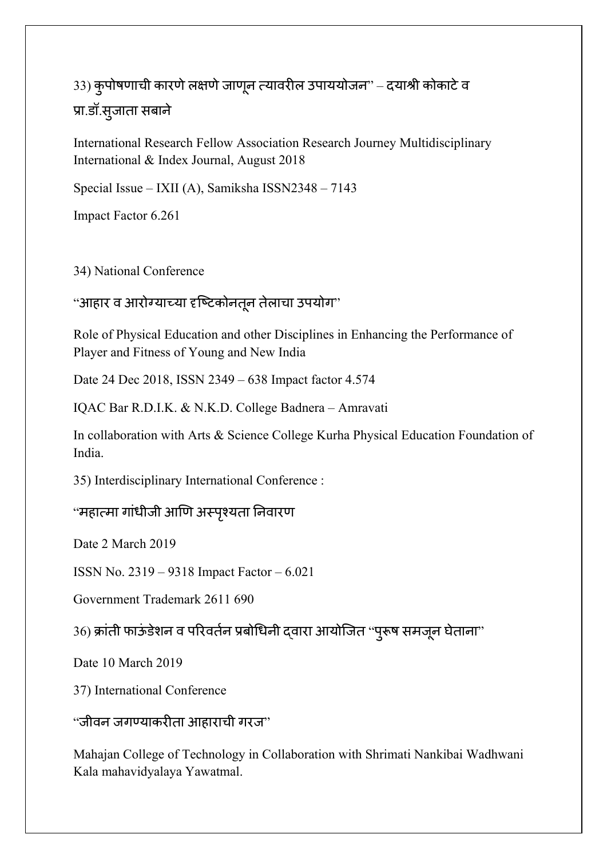33) कुर्पाषणाची कारणे लक्षणे जाणून त्यावरील उपाययोजन" – दयाश्री कोकाटे व ु प्रा.डॉ.सु जाता सबाने

International Research Fellow Association Research Journey Multidisciplinary International & Index Journal, August 2018

Special Issue – IXII (A), Samiksha ISSN2348 – 7143

Impact Factor 6.261

34) National Conference

#### "आहार व आरोग्याच्या दृष्टिकोनतून तेलाचा उपयोग"

Role of Physical Education and other Disciplines in Enhancing the Performance of Player and Fitness of Young and New India

Date 24 Dec 2018, ISSN 2349 – 638 Impact factor 4.574

IQAC Bar R.D.I.K. & N.K.D. College Badnera – Amravati

In collaboration with Arts & Science College Kurha Physical Education Foundation of India.

35) Interdisciplinary International Conference :

"महात्मा गांधीजी आणि अस्पृश्यता निवारण

Date 2 March 2019

ISSN No. 2319 – 9318 Impact Factor – 6.021

Government Trademark 2611 690

36) क्रांती फाऊंडेशन व परिवर्तन प्रबोधिनी द्वारा आयोजित ''पुरूष समजून घेताना'' ु

Date 10 March 2019

37) International Conference

 $\cdot$ 'जीवन जगण्याकरीता आहाराची गरज $\cdot$ '

Mahajan College of Technology in Collaboration with Shrimati Nankibai Wadhwani Kala mahavidyalaya Yawatmal.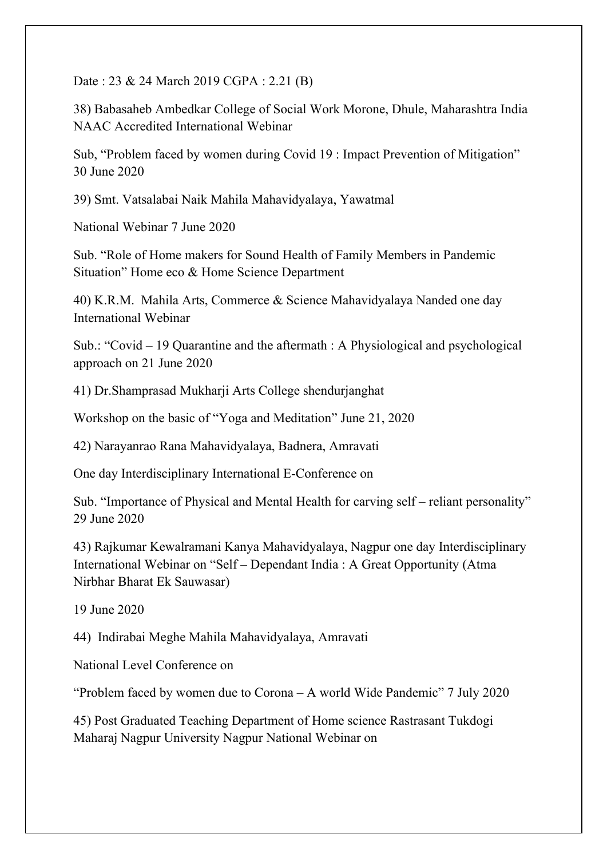Date : 23 & 24 March 2019 CGPA : 2.21 (B)

38) Babasaheb Ambedkar College of Social Work Morone, Dhule, Maharashtra India NAAC Accredited International Webinar

Sub, "Problem faced by women during Covid 19 : Impact Prevention of Mitigation" 30 June 2020

39) Smt. Vatsalabai Naik Mahila Mahavidyalaya, Yawatmal

National Webinar 7 June 2020

Sub. "Role of Home makers for Sound Health of Family Members in Pandemic Situation" Home eco & Home Science Department

40) K.R.M. Mahila Arts, Commerce & Science Mahavidyalaya Nanded one day International Webinar

Sub.: "Covid – 19 Quarantine and the aftermath : A Physiological and psychological approach on 21 June 2020

41) Dr.Shamprasad Mukharji Arts College shendurjanghat

Workshop on the basic of "Yoga and Meditation" June 21, 2020

42) Narayanrao Rana Mahavidyalaya, Badnera, Amravati

One day Interdisciplinary International E-Conference on

Sub. "Importance of Physical and Mental Health for carving self – reliant personality" 29 June 2020

43) Rajkumar Kewalramani Kanya Mahavidyalaya, Nagpur one day Interdisciplinary International Webinar on "Self – Dependant India : A Great Opportunity (Atma Nirbhar Bharat Ek Sauwasar)

19 June 2020

44) Indirabai Meghe Mahila Mahavidyalaya, Amravati

National Level Conference on

"Problem faced by women due to Corona – A world Wide Pandemic" 7 July 2020

45) Post Graduated Teaching Department of Home science Rastrasant Tukdogi Maharaj Nagpur University Nagpur National Webinar on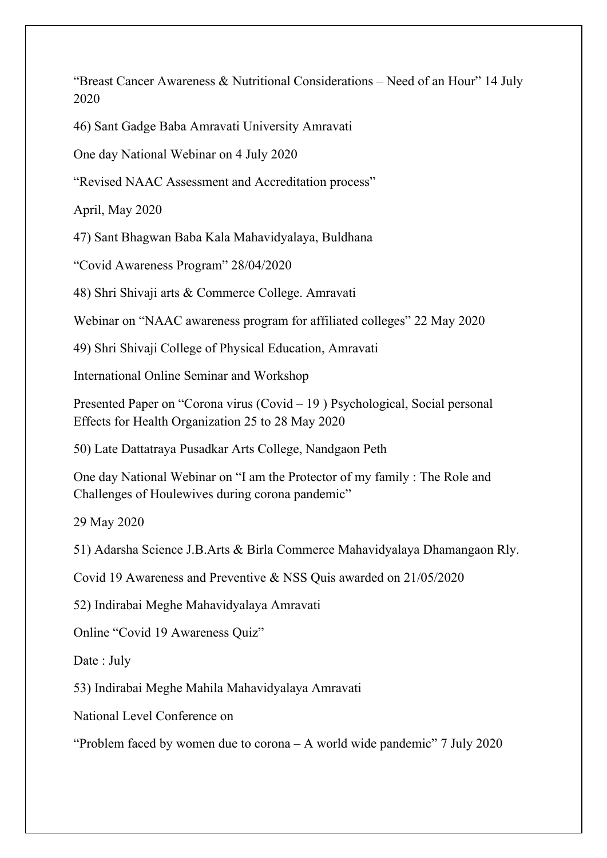"Breast Cancer Awareness & Nutritional Considerations – Need of an Hour" 14 July 2020

46) Sant Gadge Baba Amravati University Amravati

One day National Webinar on 4 July 2020

"Revised NAAC Assessment and Accreditation process"

April, May 2020

47) Sant Bhagwan Baba Kala Mahavidyalaya, Buldhana

"Covid Awareness Program" 28/04/2020

48) Shri Shivaji arts & Commerce College. Amravati

Webinar on "NAAC awareness program for affiliated colleges" 22 May 2020

49) Shri Shivaji College of Physical Education, Amravati

International Online Seminar and Workshop

Presented Paper on "Corona virus (Covid – 19 ) Psychological, Social personal Effects for Health Organization 25 to 28 May 2020

50) Late Dattatraya Pusadkar Arts College, Nandgaon Peth

One day National Webinar on "I am the Protector of my family : The Role and Challenges of Houlewives during corona pandemic"

29 May 2020

51) Adarsha Science J.B.Arts & Birla Commerce Mahavidyalaya Dhamangaon Rly.

Covid 19 Awareness and Preventive & NSS Quis awarded on 21/05/2020

52) Indirabai Meghe Mahavidyalaya Amravati

Online "Covid 19 Awareness Quiz"

Date : July

53) Indirabai Meghe Mahila Mahavidyalaya Amravati

National Level Conference on

"Problem faced by women due to corona – A world wide pandemic" 7 July 2020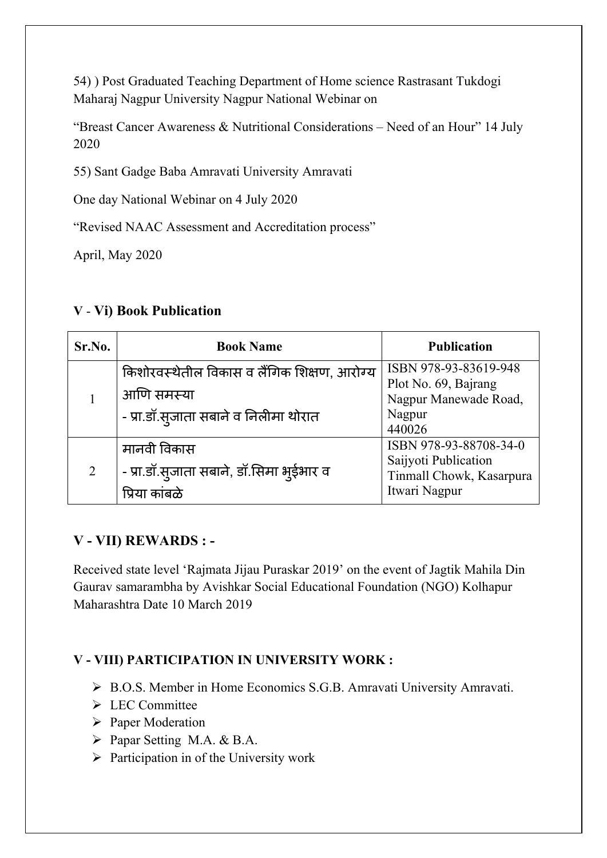54) ) Post Graduated Teaching Department of Home science Rastrasant Tukdogi Maharaj Nagpur University Nagpur National Webinar on

"Breast Cancer Awareness & Nutritional Considerations – Need of an Hour" 14 July 2020

55) Sant Gadge Baba Amravati University Amravati

One day National Webinar on 4 July 2020

"Revised NAAC Assessment and Accreditation process"

April, May 2020

#### **V** - **Vi) Book Publication**

| Sr.No. | <b>Book Name</b>                                                                                   | <b>Publication</b>                                                                          |
|--------|----------------------------------------------------------------------------------------------------|---------------------------------------------------------------------------------------------|
|        | किशोरवस्थेतील विकास व लैंगिक शिक्षण, आरोग्य<br>आणि समस्या<br>- प्रा.डॉ.स्जाता सबाने व निलीमा थोरात | ISBN 978-93-83619-948<br>Plot No. 69, Bajrang<br>Nagpur Manewade Road,<br>Nagpur<br>440026  |
| 2      | मानवी विकास<br>- प्रा.डॉ.स्जाता सबाने, डॉ.सिमा भुईभार व<br>प्रिया काबळे                            | ISBN 978-93-88708-34-0<br>Saijyoti Publication<br>Tinmall Chowk, Kasarpura<br>Itwari Nagpur |

#### **V - VII) REWARDS : -**

Received state level 'Rajmata Jijau Puraskar 2019' on the event of Jagtik Mahila Din Gaurav samarambha by Avishkar Social Educational Foundation (NGO) Kolhapur Maharashtra Date 10 March 2019

#### **V - VIII) PARTICIPATION IN UNIVERSITY WORK :**

- ▶ B.O.S. Member in Home Economics S.G.B. Amravati University Amravati.
- > LEC Committee
- $\triangleright$  Paper Moderation
- Papar Setting M.A. & B.A.
- $\triangleright$  Participation in of the University work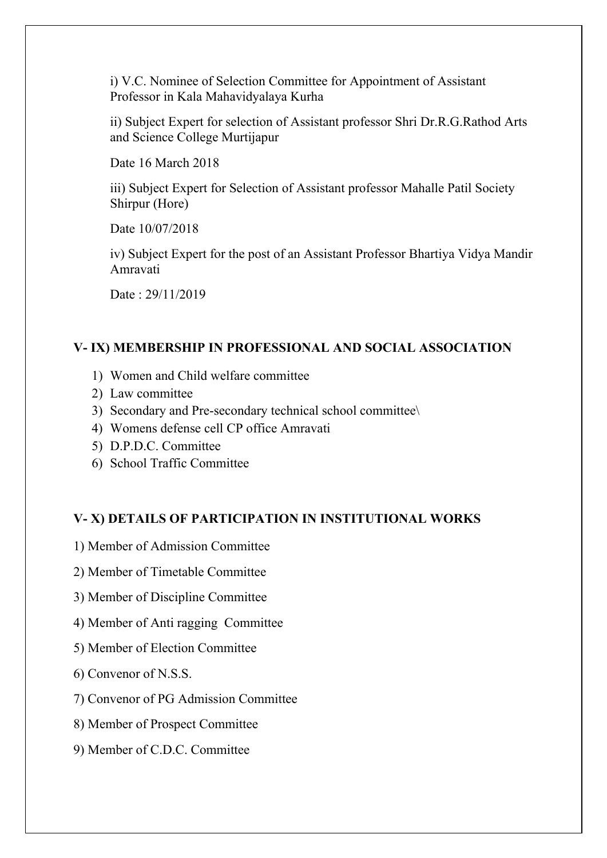i) V.C. Nominee of Selection Committee for Appointment of Assistant Professor in Kala Mahavidyalaya Kurha

ii) Subject Expert for selection of Assistant professor Shri Dr.R.G.Rathod Arts and Science College Murtijapur

Date 16 March 2018

iii) Subject Expert for Selection of Assistant professor Mahalle Patil Society Shirpur (Hore)

Date 10/07/2018

iv) Subject Expert for the post of an Assistant Professor Bhartiya Vidya Mandir Amravati

Date : 29/11/2019

#### **V- IX) MEMBERSHIP IN PROFESSIONAL AND SOCIAL ASSOCIATION**

- 1) Women and Child welfare committee
- 2) Law committee
- 3) Secondary and Pre-secondary technical school committee\
- 4) Womens defense cell CP office Amravati
- 5) D.P.D.C. Committee
- 6) School Traffic Committee

#### **V- X) DETAILS OF PARTICIPATION IN INSTITUTIONAL WORKS**

- 1) Member of Admission Committee
- 2) Member of Timetable Committee
- 3) Member of Discipline Committee
- 4) Member of Anti ragging Committee
- 5) Member of Election Committee
- 6) Convenor of N.S.S.
- 7) Convenor of PG Admission Committee
- 8) Member of Prospect Committee
- 9) Member of C.D.C. Committee